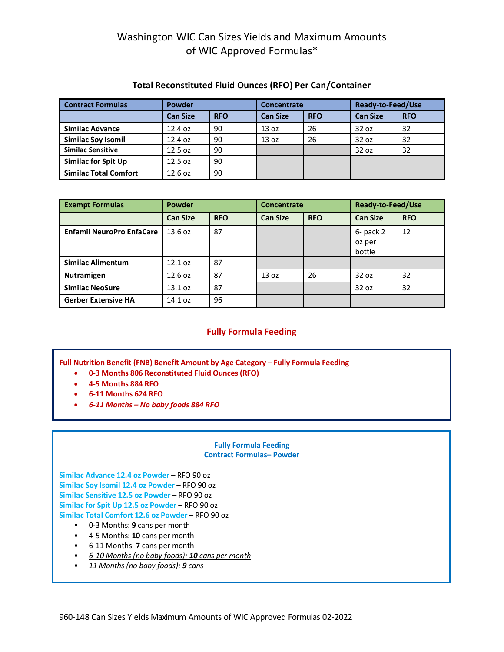# Washington WIC Can Sizes Yields and Maximum Amounts of WIC Approved Formulas\*

| <b>Contract Formulas</b>     | Powder          |            | Concentrate      |            | <b>Ready-to-Feed/Use</b> |            |  |
|------------------------------|-----------------|------------|------------------|------------|--------------------------|------------|--|
|                              | <b>Can Size</b> | <b>RFO</b> | <b>Can Size</b>  | <b>RFO</b> | <b>Can Size</b>          | <b>RFO</b> |  |
| <b>Similac Advance</b>       | 12.4 oz         | 90         | 13 <sub>oz</sub> | 26         | 32 oz                    | 32         |  |
| <b>Similac Soy Isomil</b>    | 12.4 oz         | 90         | 13 <sub>oz</sub> | 26         | 32 oz                    | 32         |  |
| <b>Similac Sensitive</b>     | 12.5 oz         | 90         |                  |            | 32 oz                    | 32         |  |
| <b>Similac for Spit Up</b>   | 12.5 oz         | 90         |                  |            |                          |            |  |
| <b>Similac Total Comfort</b> | 12.6 oz         | 90         |                  |            |                          |            |  |

## **Total Reconstituted Fluid Ounces (RFO) Per Can/Container**

| <b>Exempt Formulas</b>           | <b>Powder</b>   |            | <b>Concentrate</b> |            | Ready-to-Feed/Use               |            |  |
|----------------------------------|-----------------|------------|--------------------|------------|---------------------------------|------------|--|
|                                  | <b>Can Size</b> | <b>RFO</b> | <b>Can Size</b>    | <b>RFO</b> | <b>Can Size</b>                 | <b>RFO</b> |  |
| <b>Enfamil NeuroPro EnfaCare</b> | 13.6 oz         | 87         |                    |            | $6-$ pack 2<br>oz per<br>bottle | 12         |  |
| <b>Similac Alimentum</b>         | 12.1 oz         | 87         |                    |            |                                 |            |  |
| <b>Nutramigen</b>                | 12.6 oz         | 87         | 13 oz              | 26         | 32 oz                           | 32         |  |
| <b>Similac NeoSure</b>           | 13.1 oz         | 87         |                    |            | 32 oz                           | 32         |  |
| <b>Gerber Extensive HA</b>       | 14.1 oz         | 96         |                    |            |                                 |            |  |

## **Fully Formula Feeding**

**Full Nutrition Benefit (FNB) Benefit Amount by Age Category – Fully Formula Feeding** 

- **0-3 Months 806 Reconstituted Fluid Ounces (RFO)**
- **4-5 Months 884 RFO**
- **6-11 Months 624 RFO**
- *6-11 Months No baby foods 884 RFO*

### **Fully Formula Feeding Contract Formulas– Powder**

**Similac Advance 12.4 oz Powder** – RFO 90 oz **Similac Soy Isomil 12.4 oz Powder** – RFO 90 oz **Similac Sensitive 12.5 oz Powder** – RFO 90 oz **Similac for Spit Up 12.5 oz Powder** – RFO 90 oz **Similac Total Comfort 12.6 oz Powder** – RFO 90 oz

- 0-3 Months: **9** cans per month
- 4-5 Months: **10** cans per month
- 6-11 Months: **7** cans per month
- *6-10 Months (no baby foods): 10 cans per month*
- *11 Months (no baby foods): 9 cans*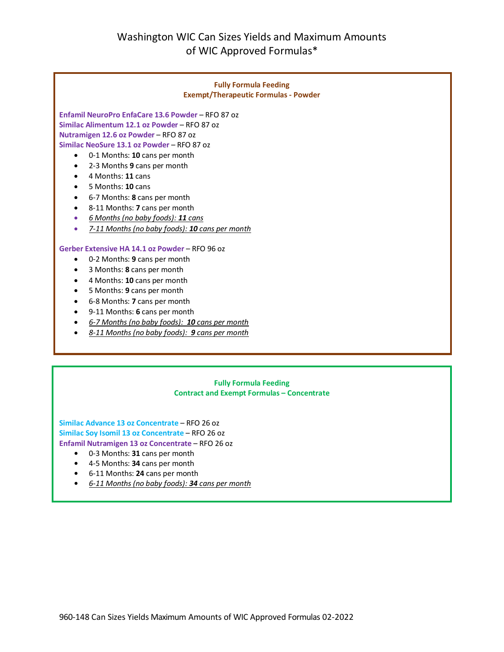

#### **Fully Formula Feeding Contract and Exempt Formulas – Concentrate**

**Similac Advance 13 oz Concentrate** – RFO 26 oz **Similac Soy Isomil 13 oz Concentrate** – RFO 26 oz **Enfamil Nutramigen 13 oz Concentrate** – RFO 26 oz

- **•** 0-3 Months: **31** cans per month
- **•** 4-5 Months: **34** cans per month
- **•** 6-11 Months: **24** cans per month
- **•** *6-11 Months (no baby foods): 34 cans per month*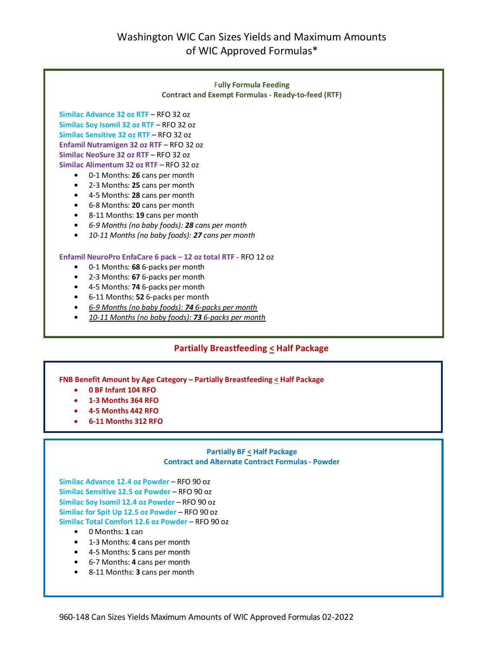# Washington WIC Can Sizes Yields and Maximum Amounts of WIC Approved Formulas\*



## **Partially Breastfeeding < Half Package**

### **FNB Benefit Amount by Age Category – Partially Breastfeeding < Half Package**

- **0 BF Infant 104 RFO**
- **1-3 Months 364 RFO**
- **4-5 Months 442 RFO**
- **6-11 Months 312 RFO**

#### **Partially BF < Half Package Contract and Alternate Contract Formulas - Powder**

**Similac Advance 12.4 oz Powder** – RFO 90 oz **Similac Sensitive 12.5 oz Powder** – RFO 90 oz **Similac Soy Isomil 12.4 oz Powder** – RFO 90 oz **Similac for Spit Up 12.5 oz Powder** – RFO 90 oz **Similac Total Comfort 12.6 oz Powder** – RFO 90 oz

- **•** 0 Months: **1** can
- **•** 1-3 Months: **4** cans per month
- **•** 4-5 Months: **5** cans per month
- **•** 6-7 Months: **4** cans per month
- **•** 8-11 Months: **3** cans per month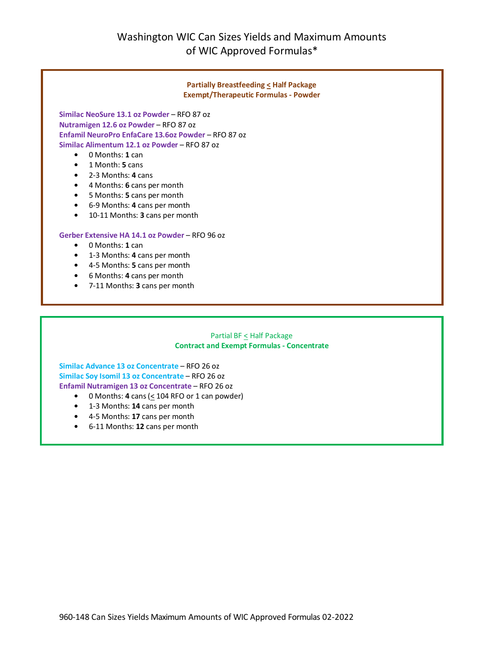

**Similac Advance 13 oz Concentrate** – RFO 26 oz **Similac Soy Isomil 13 oz Concentrate** – RFO 26 oz **Enfamil Nutramigen 13 oz Concentrate** – RFO 26 oz

- 0 Months:  $4$  cans ( $\leq$  104 RFO or 1 can powder)
- **•** 1-3 Months: **14** cans per month
- **•** 4-5 Months: **17** cans per month
- **•** 6-11 Months: **12** cans per month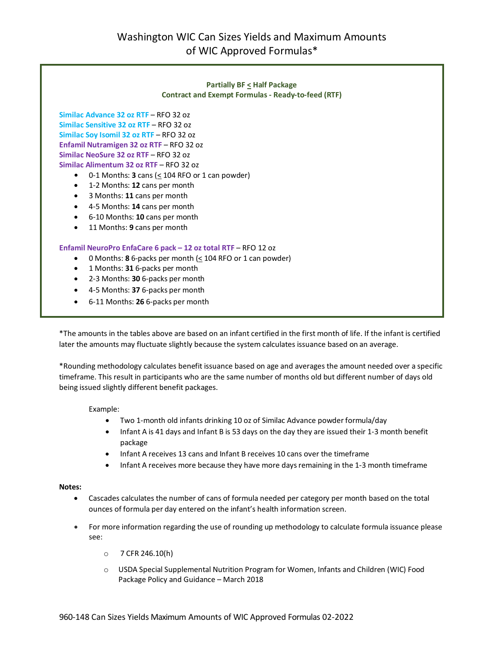### **Partially BF < Half Package Contract and Exempt Formulas - Ready-to-feed (RTF)**

**Similac Advance 32 oz RTF** – RFO 32 oz **Similac Sensitive 32 oz RTF** – RFO 32 oz **Similac Soy Isomil 32 oz RTF** – RFO 32 oz **Enfamil Nutramigen 32 oz RTF** – RFO 32 oz **Similac NeoSure 32 oz RTF** – RFO 32 oz **Similac Alimentum 32 oz RTF** – RFO 32 oz

- $\bullet$  0-1 Months: **3** cans ( $\leq$  104 RFO or 1 can powder)
- 1-2 Months: **12** cans per month
- 3 Months: **11** cans per month
- 4-5 Months: **14** cans per month
- 6-10 Months: **10** cans per month
- 11 Months: **9** cans per month

#### **Enfamil NeuroPro EnfaCare 6 pack – 12 oz total RTF** – RFO 12 oz

- 0 Months: **8** 6-packs per month (< 104 RFO or 1 can powder)
- 1 Months: **31** 6-packs per month
- 2-3 Months: **30** 6-packs per month
- 4-5 Months: **37** 6-packs per month
- 6-11 Months: **26** 6-packs per month

\*The amounts in the tables above are based on an infant certified in the first month of life. If the infant is certified later the amounts may fluctuate slightly because the system calculates issuance based on an average.

\*Rounding methodology calculates benefit issuance based on age and averages the amount needed over a specific timeframe. This result in participants who are the same number of months old but different number of days old being issued slightly different benefit packages.

#### Example:

- Two 1-month old infants drinking 10 oz of Similac Advance powder formula/day
- Infant A is 41 days and Infant B is 53 days on the day they are issued their 1-3 month benefit package
- Infant A receives 13 cans and Infant B receives 10 cans over the timeframe
- Infant A receives more because they have more days remaining in the 1-3 month timeframe

#### **Notes:**

- Cascades calculates the number of cans of formula needed per category per month based on the total ounces of formula per day entered on the infant's health information screen.
- For more information regarding the use of rounding up methodology to calculate formula issuance please see:
	- o 7 CFR 246.10(h)
	- o USDA Special Supplemental Nutrition Program for Women, Infants and Children (WIC) Food Package Policy and Guidance – March 2018